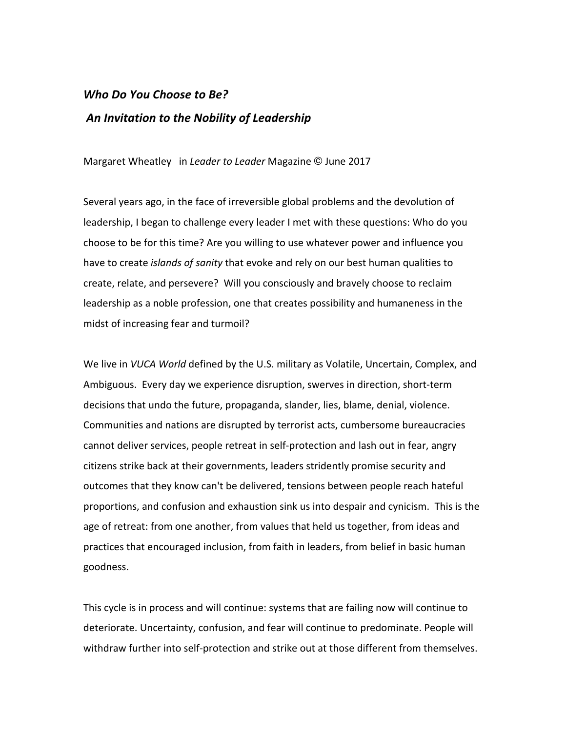# *Who Do You Choose to Be?* An Invitation to the Nobility of Leadership

Margaret Wheatley in *Leader to Leader* Magazine © June 2017

Several years ago, in the face of irreversible global problems and the devolution of leadership, I began to challenge every leader I met with these questions: Who do you choose to be for this time? Are you willing to use whatever power and influence you have to create *islands of sanity* that evoke and rely on our best human qualities to create, relate, and persevere? Will you consciously and bravely choose to reclaim leadership as a noble profession, one that creates possibility and humaneness in the midst of increasing fear and turmoil?

We live in *VUCA World* defined by the U.S. military as Volatile, Uncertain, Complex, and Ambiguous. Every day we experience disruption, swerves in direction, short-term decisions that undo the future, propaganda, slander, lies, blame, denial, violence. Communities and nations are disrupted by terrorist acts, cumbersome bureaucracies cannot deliver services, people retreat in self-protection and lash out in fear, angry citizens strike back at their governments, leaders stridently promise security and outcomes that they know can't be delivered, tensions between people reach hateful proportions, and confusion and exhaustion sink us into despair and cynicism. This is the age of retreat: from one another, from values that held us together, from ideas and practices that encouraged inclusion, from faith in leaders, from belief in basic human goodness. 

This cycle is in process and will continue: systems that are failing now will continue to deteriorate. Uncertainty, confusion, and fear will continue to predominate. People will withdraw further into self-protection and strike out at those different from themselves.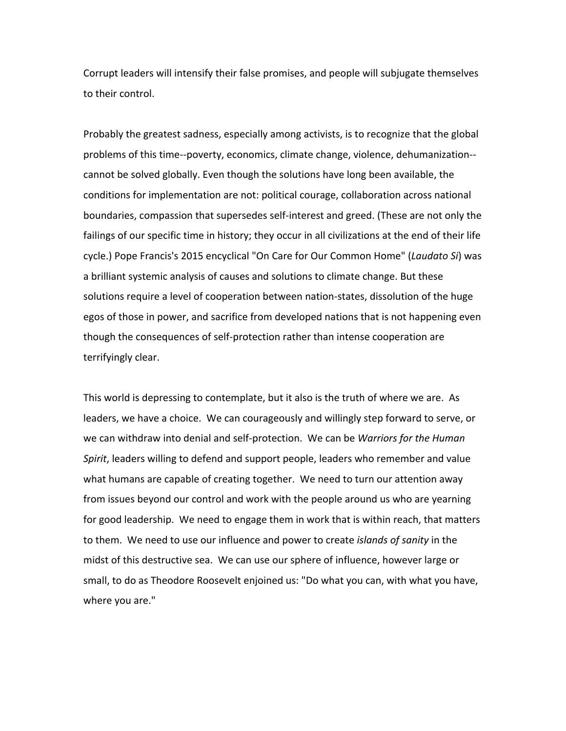Corrupt leaders will intensify their false promises, and people will subjugate themselves to their control.

Probably the greatest sadness, especially among activists, is to recognize that the global problems of this time--poverty, economics, climate change, violence, dehumanization-cannot be solved globally. Even though the solutions have long been available, the conditions for implementation are not: political courage, collaboration across national boundaries, compassion that supersedes self-interest and greed. (These are not only the failings of our specific time in history; they occur in all civilizations at the end of their life cycle.) Pope Francis's 2015 encyclical "On Care for Our Common Home" (*Laudato Si*) was a brilliant systemic analysis of causes and solutions to climate change. But these solutions require a level of cooperation between nation-states, dissolution of the huge egos of those in power, and sacrifice from developed nations that is not happening even though the consequences of self-protection rather than intense cooperation are terrifyingly clear.

This world is depressing to contemplate, but it also is the truth of where we are. As leaders, we have a choice. We can courageously and willingly step forward to serve, or we can withdraw into denial and self-protection. We can be *Warriors for the Human Spirit*, leaders willing to defend and support people, leaders who remember and value what humans are capable of creating together. We need to turn our attention away from issues beyond our control and work with the people around us who are yearning for good leadership. We need to engage them in work that is within reach, that matters to them. We need to use our influence and power to create *islands of sanity* in the midst of this destructive sea. We can use our sphere of influence, however large or small, to do as Theodore Roosevelt enjoined us: "Do what you can, with what you have, where you are."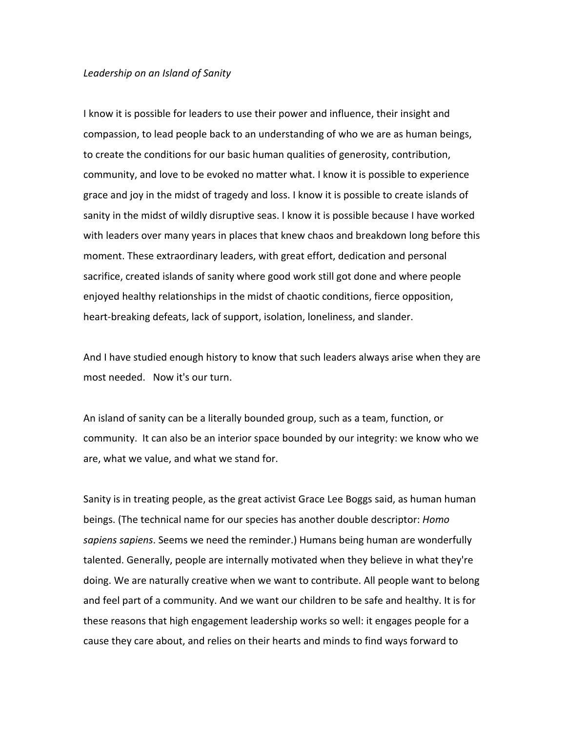#### Leadership on an Island of Sanity

I know it is possible for leaders to use their power and influence, their insight and compassion, to lead people back to an understanding of who we are as human beings, to create the conditions for our basic human qualities of generosity, contribution, community, and love to be evoked no matter what. I know it is possible to experience grace and joy in the midst of tragedy and loss. I know it is possible to create islands of sanity in the midst of wildly disruptive seas. I know it is possible because I have worked with leaders over many years in places that knew chaos and breakdown long before this moment. These extraordinary leaders, with great effort, dedication and personal sacrifice, created islands of sanity where good work still got done and where people enjoyed healthy relationships in the midst of chaotic conditions, fierce opposition, heart-breaking defeats, lack of support, isolation, loneliness, and slander.

And I have studied enough history to know that such leaders always arise when they are most needed. Now it's our turn.

An island of sanity can be a literally bounded group, such as a team, function, or community. It can also be an interior space bounded by our integrity: we know who we are, what we value, and what we stand for.

Sanity is in treating people, as the great activist Grace Lee Boggs said, as human human beings. (The technical name for our species has another double descriptor: *Homo* sapiens sapiens. Seems we need the reminder.) Humans being human are wonderfully talented. Generally, people are internally motivated when they believe in what they're doing. We are naturally creative when we want to contribute. All people want to belong and feel part of a community. And we want our children to be safe and healthy. It is for these reasons that high engagement leadership works so well: it engages people for a cause they care about, and relies on their hearts and minds to find ways forward to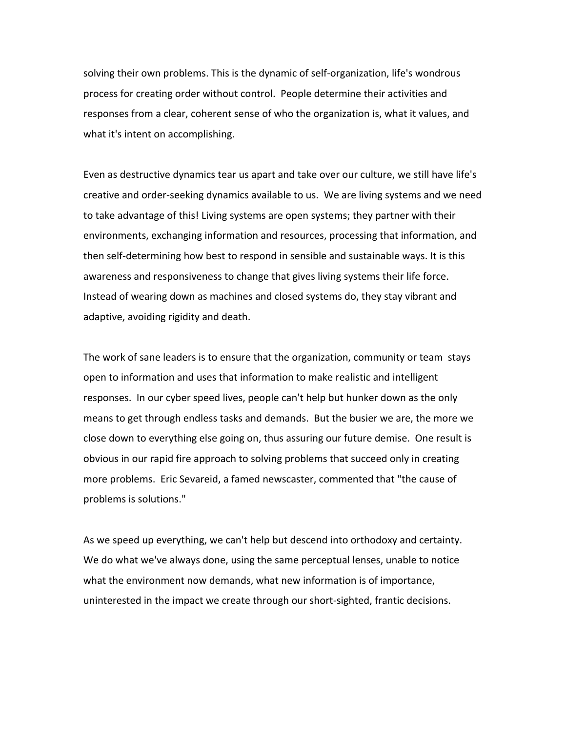solving their own problems. This is the dynamic of self-organization, life's wondrous process for creating order without control. People determine their activities and responses from a clear, coherent sense of who the organization is, what it values, and what it's intent on accomplishing.

Even as destructive dynamics tear us apart and take over our culture, we still have life's creative and order-seeking dynamics available to us. We are living systems and we need to take advantage of this! Living systems are open systems; they partner with their environments, exchanging information and resources, processing that information, and then self-determining how best to respond in sensible and sustainable ways. It is this awareness and responsiveness to change that gives living systems their life force. Instead of wearing down as machines and closed systems do, they stay vibrant and adaptive, avoiding rigidity and death.

The work of sane leaders is to ensure that the organization, community or team stays open to information and uses that information to make realistic and intelligent responses. In our cyber speed lives, people can't help but hunker down as the only means to get through endless tasks and demands. But the busier we are, the more we close down to everything else going on, thus assuring our future demise. One result is obvious in our rapid fire approach to solving problems that succeed only in creating more problems. Eric Sevareid, a famed newscaster, commented that "the cause of problems is solutions."

As we speed up everything, we can't help but descend into orthodoxy and certainty. We do what we've always done, using the same perceptual lenses, unable to notice what the environment now demands, what new information is of importance, uninterested in the impact we create through our short-sighted, frantic decisions.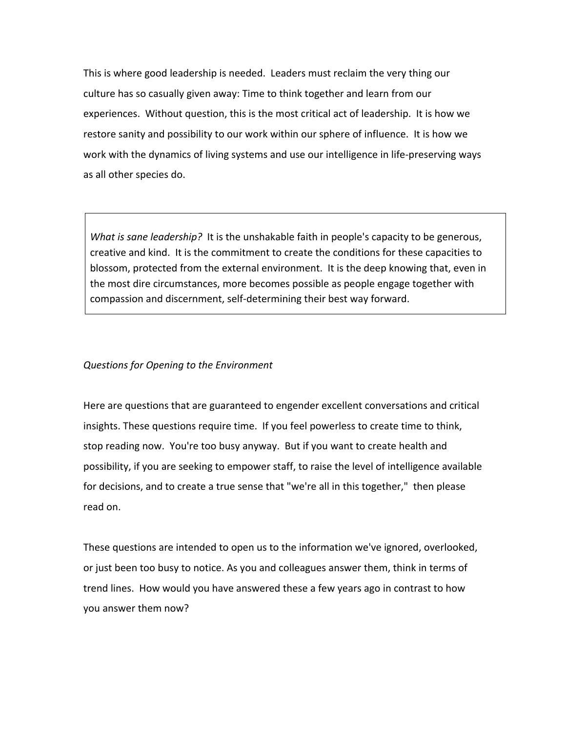This is where good leadership is needed. Leaders must reclaim the very thing our culture has so casually given away: Time to think together and learn from our experiences. Without question, this is the most critical act of leadership. It is how we restore sanity and possibility to our work within our sphere of influence. It is how we work with the dynamics of living systems and use our intelligence in life-preserving ways as all other species do.

*What is sane leadership?* It is the unshakable faith in people's capacity to be generous, creative and kind. It is the commitment to create the conditions for these capacities to blossom, protected from the external environment. It is the deep knowing that, even in the most dire circumstances, more becomes possible as people engage together with compassion and discernment, self-determining their best way forward.

## *Questions for Opening to the Environment*

Here are questions that are guaranteed to engender excellent conversations and critical insights. These questions require time. If you feel powerless to create time to think, stop reading now. You're too busy anyway. But if you want to create health and possibility, if you are seeking to empower staff, to raise the level of intelligence available for decisions, and to create a true sense that "we're all in this together," then please read on.

These questions are intended to open us to the information we've ignored, overlooked, or just been too busy to notice. As you and colleagues answer them, think in terms of trend lines. How would you have answered these a few years ago in contrast to how you answer them now?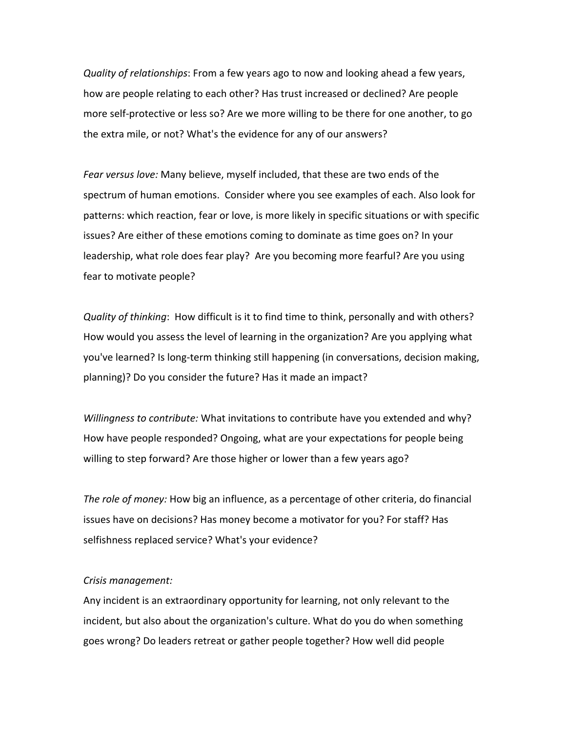*Quality of relationships*: From a few years ago to now and looking ahead a few years, how are people relating to each other? Has trust increased or declined? Are people more self-protective or less so? Are we more willing to be there for one another, to go the extra mile, or not? What's the evidence for any of our answers?

*Fear versus love:* Many believe, myself included, that these are two ends of the spectrum of human emotions. Consider where you see examples of each. Also look for patterns: which reaction, fear or love, is more likely in specific situations or with specific issues? Are either of these emotions coming to dominate as time goes on? In your leadership, what role does fear play? Are you becoming more fearful? Are you using fear to motivate people?

*Quality of thinking*: How difficult is it to find time to think, personally and with others? How would you assess the level of learning in the organization? Are you applying what you've learned? Is long-term thinking still happening (in conversations, decision making, planning)? Do you consider the future? Has it made an impact?

*Willingness to contribute:* What invitations to contribute have you extended and why? How have people responded? Ongoing, what are your expectations for people being willing to step forward? Are those higher or lower than a few years ago?

*The role of money:* How big an influence, as a percentage of other criteria, do financial issues have on decisions? Has money become a motivator for you? For staff? Has selfishness replaced service? What's your evidence?

## *Crisis management:*

Any incident is an extraordinary opportunity for learning, not only relevant to the incident, but also about the organization's culture. What do you do when something goes wrong? Do leaders retreat or gather people together? How well did people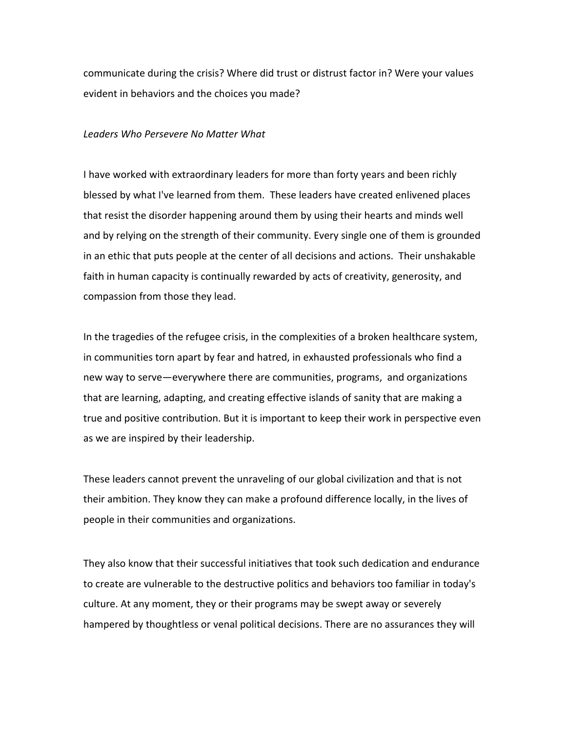communicate during the crisis? Where did trust or distrust factor in? Were your values evident in behaviors and the choices you made?

### *Leaders Who Persevere No Matter What*

I have worked with extraordinary leaders for more than forty years and been richly blessed by what I've learned from them. These leaders have created enlivened places that resist the disorder happening around them by using their hearts and minds well and by relying on the strength of their community. Every single one of them is grounded in an ethic that puts people at the center of all decisions and actions. Their unshakable faith in human capacity is continually rewarded by acts of creativity, generosity, and compassion from those they lead.

In the tragedies of the refugee crisis, in the complexities of a broken healthcare system, in communities torn apart by fear and hatred, in exhausted professionals who find a new way to serve—everywhere there are communities, programs, and organizations that are learning, adapting, and creating effective islands of sanity that are making a true and positive contribution. But it is important to keep their work in perspective even as we are inspired by their leadership.

These leaders cannot prevent the unraveling of our global civilization and that is not their ambition. They know they can make a profound difference locally, in the lives of people in their communities and organizations.

They also know that their successful initiatives that took such dedication and endurance to create are vulnerable to the destructive politics and behaviors too familiar in today's culture. At any moment, they or their programs may be swept away or severely hampered by thoughtless or venal political decisions. There are no assurances they will